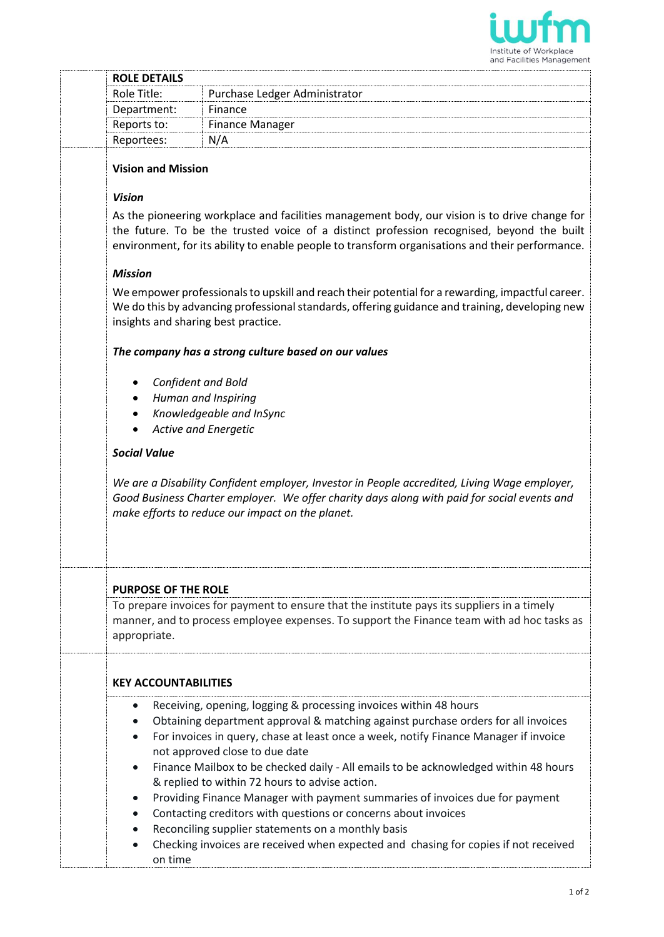

|  |                                                                                                                                                                                                                                                                                                                | and Facilities Management                                                                                                                                                                                                                                                                                                                                                                                                                                                                                                                                                                                                                                                                                                |  |
|--|----------------------------------------------------------------------------------------------------------------------------------------------------------------------------------------------------------------------------------------------------------------------------------------------------------------|--------------------------------------------------------------------------------------------------------------------------------------------------------------------------------------------------------------------------------------------------------------------------------------------------------------------------------------------------------------------------------------------------------------------------------------------------------------------------------------------------------------------------------------------------------------------------------------------------------------------------------------------------------------------------------------------------------------------------|--|
|  | <b>ROLE DETAILS</b>                                                                                                                                                                                                                                                                                            |                                                                                                                                                                                                                                                                                                                                                                                                                                                                                                                                                                                                                                                                                                                          |  |
|  | Role Title:                                                                                                                                                                                                                                                                                                    | Purchase Ledger Administrator                                                                                                                                                                                                                                                                                                                                                                                                                                                                                                                                                                                                                                                                                            |  |
|  | Department:                                                                                                                                                                                                                                                                                                    | Finance                                                                                                                                                                                                                                                                                                                                                                                                                                                                                                                                                                                                                                                                                                                  |  |
|  | Reports to:                                                                                                                                                                                                                                                                                                    | <b>Finance Manager</b>                                                                                                                                                                                                                                                                                                                                                                                                                                                                                                                                                                                                                                                                                                   |  |
|  | Reportees:                                                                                                                                                                                                                                                                                                     | N/A                                                                                                                                                                                                                                                                                                                                                                                                                                                                                                                                                                                                                                                                                                                      |  |
|  | <b>Vision and Mission</b>                                                                                                                                                                                                                                                                                      |                                                                                                                                                                                                                                                                                                                                                                                                                                                                                                                                                                                                                                                                                                                          |  |
|  | <b>Vision</b><br>As the pioneering workplace and facilities management body, our vision is to drive change for<br>the future. To be the trusted voice of a distinct profession recognised, beyond the built<br>environment, for its ability to enable people to transform organisations and their performance. |                                                                                                                                                                                                                                                                                                                                                                                                                                                                                                                                                                                                                                                                                                                          |  |
|  |                                                                                                                                                                                                                                                                                                                |                                                                                                                                                                                                                                                                                                                                                                                                                                                                                                                                                                                                                                                                                                                          |  |
|  | <b>Mission</b>                                                                                                                                                                                                                                                                                                 |                                                                                                                                                                                                                                                                                                                                                                                                                                                                                                                                                                                                                                                                                                                          |  |
|  | We empower professionals to upskill and reach their potential for a rewarding, impactful career.<br>We do this by advancing professional standards, offering guidance and training, developing new<br>insights and sharing best practice.                                                                      |                                                                                                                                                                                                                                                                                                                                                                                                                                                                                                                                                                                                                                                                                                                          |  |
|  | The company has a strong culture based on our values                                                                                                                                                                                                                                                           |                                                                                                                                                                                                                                                                                                                                                                                                                                                                                                                                                                                                                                                                                                                          |  |
|  | <b>Confident and Bold</b>                                                                                                                                                                                                                                                                                      |                                                                                                                                                                                                                                                                                                                                                                                                                                                                                                                                                                                                                                                                                                                          |  |
|  |                                                                                                                                                                                                                                                                                                                | Human and Inspiring                                                                                                                                                                                                                                                                                                                                                                                                                                                                                                                                                                                                                                                                                                      |  |
|  |                                                                                                                                                                                                                                                                                                                | Knowledgeable and InSync                                                                                                                                                                                                                                                                                                                                                                                                                                                                                                                                                                                                                                                                                                 |  |
|  |                                                                                                                                                                                                                                                                                                                | Active and Energetic                                                                                                                                                                                                                                                                                                                                                                                                                                                                                                                                                                                                                                                                                                     |  |
|  | <b>Social Value</b>                                                                                                                                                                                                                                                                                            |                                                                                                                                                                                                                                                                                                                                                                                                                                                                                                                                                                                                                                                                                                                          |  |
|  | We are a Disability Confident employer, Investor in People accredited, Living Wage employer,<br>Good Business Charter employer. We offer charity days along with paid for social events and<br>make efforts to reduce our impact on the planet.                                                                |                                                                                                                                                                                                                                                                                                                                                                                                                                                                                                                                                                                                                                                                                                                          |  |
|  |                                                                                                                                                                                                                                                                                                                | <b>PURPOSE OF THE ROLE</b>                                                                                                                                                                                                                                                                                                                                                                                                                                                                                                                                                                                                                                                                                               |  |
|  | appropriate.                                                                                                                                                                                                                                                                                                   | To prepare invoices for payment to ensure that the institute pays its suppliers in a timely<br>manner, and to process employee expenses. To support the Finance team with ad hoc tasks as                                                                                                                                                                                                                                                                                                                                                                                                                                                                                                                                |  |
|  |                                                                                                                                                                                                                                                                                                                | <b>KEY ACCOUNTABILITIES</b>                                                                                                                                                                                                                                                                                                                                                                                                                                                                                                                                                                                                                                                                                              |  |
|  | $\bullet$<br>$\bullet$<br>$\bullet$<br>$\bullet$                                                                                                                                                                                                                                                               | Receiving, opening, logging & processing invoices within 48 hours<br>Obtaining department approval & matching against purchase orders for all invoices<br>For invoices in query, chase at least once a week, notify Finance Manager if invoice<br>not approved close to due date<br>Finance Mailbox to be checked daily - All emails to be acknowledged within 48 hours<br>& replied to within 72 hours to advise action.<br>Providing Finance Manager with payment summaries of invoices due for payment<br>Contacting creditors with questions or concerns about invoices<br>Reconciling supplier statements on a monthly basis<br>Checking invoices are received when expected and chasing for copies if not received |  |